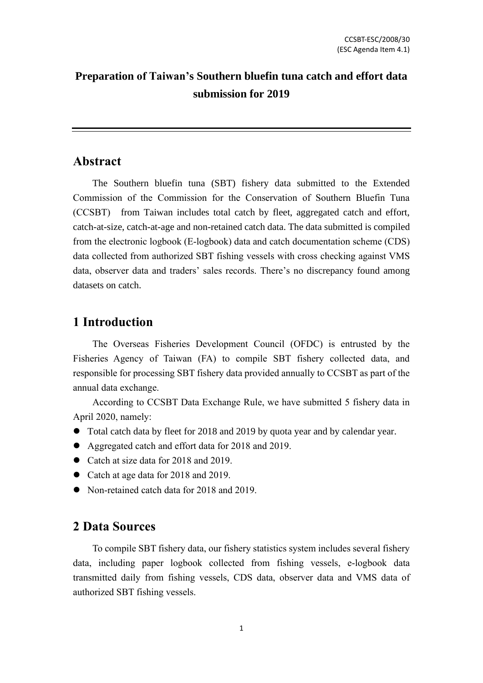## **Preparation of Taiwan's Southern bluefin tuna catch and effort data submission for 2019**

### **Abstract**

The Southern bluefin tuna (SBT) fishery data submitted to the Extended Commission of the Commission for the Conservation of Southern Bluefin Tuna (CCSBT) from Taiwan includes total catch by fleet, aggregated catch and effort, catch-at-size, catch-at-age and non-retained catch data. The data submitted is compiled from the electronic logbook (E-logbook) data and catch documentation scheme (CDS) data collected from authorized SBT fishing vessels with cross checking against VMS data, observer data and traders' sales records. There's no discrepancy found among datasets on catch.

## **1 Introduction**

The Overseas Fisheries Development Council (OFDC) is entrusted by the Fisheries Agency of Taiwan (FA) to compile SBT fishery collected data, and responsible for processing SBT fishery data provided annually to CCSBT as part of the annual data exchange.

According to CCSBT Data Exchange Rule, we have submitted 5 fishery data in April 2020, namely:

- ⚫ Total catch data by fleet for 2018 and 2019 by quota year and by calendar year.
- Aggregated catch and effort data for 2018 and 2019.
- Catch at size data for 2018 and 2019.
- Catch at age data for 2018 and 2019.
- Non-retained catch data for 2018 and 2019.

## **2 Data Sources**

To compile SBT fishery data, our fishery statistics system includes several fishery data, including paper logbook collected from fishing vessels, e-logbook data transmitted daily from fishing vessels, CDS data, observer data and VMS data of authorized SBT fishing vessels.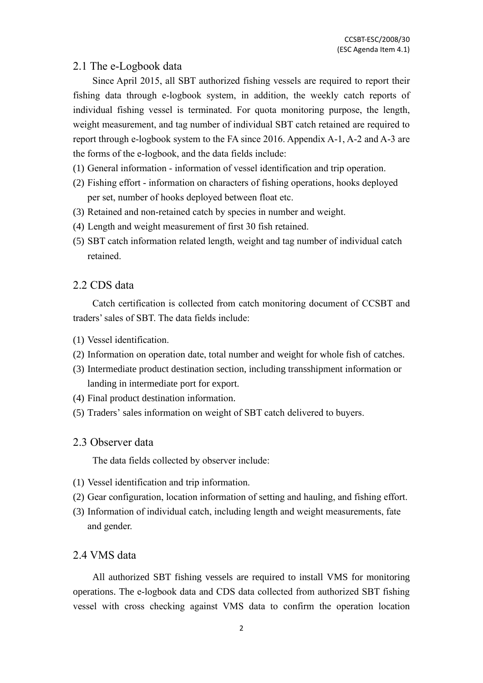#### 2.1 The e-Logbook data

Since April 2015, all SBT authorized fishing vessels are required to report their fishing data through e-logbook system, in addition, the weekly catch reports of individual fishing vessel is terminated. For quota monitoring purpose, the length, weight measurement, and tag number of individual SBT catch retained are required to report through e-logbook system to the FA since 2016. Appendix A-1, A-2 and A-3 are the forms of the e-logbook, and the data fields include:

- (1) General information information of vessel identification and trip operation.
- (2) Fishing effort information on characters of fishing operations, hooks deployed per set, number of hooks deployed between float etc.
- (3) Retained and non-retained catch by species in number and weight.
- (4) Length and weight measurement of first 30 fish retained.
- (5) SBT catch information related length, weight and tag number of individual catch retained.

#### 2.2 CDS data

Catch certification is collected from catch monitoring document of CCSBT and traders'sales of SBT. The data fields include:

- (1) Vessel identification.
- (2) Information on operation date, total number and weight for whole fish of catches.
- (3) Intermediate product destination section, including transshipment information or landing in intermediate port for export.
- (4) Final product destination information.
- (5) Traders' sales information on weight of SBT catch delivered to buyers.

#### 2.3 Observer data

The data fields collected by observer include:

- (1) Vessel identification and trip information.
- (2) Gear configuration, location information of setting and hauling, and fishing effort.
- (3) Information of individual catch, including length and weight measurements, fate and gender.

### 2.4 VMS data

All authorized SBT fishing vessels are required to install VMS for monitoring operations. The e-logbook data and CDS data collected from authorized SBT fishing vessel with cross checking against VMS data to confirm the operation location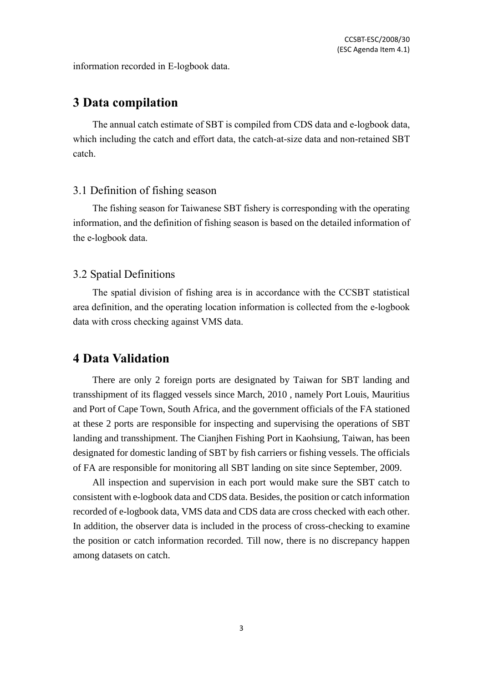information recorded in E-logbook data.

## **3 Data compilation**

The annual catch estimate of SBT is compiled from CDS data and e-logbook data, which including the catch and effort data, the catch-at-size data and non-retained SBT catch.

#### 3.1 Definition of fishing season

The fishing season for Taiwanese SBT fishery is corresponding with the operating information, and the definition of fishing season is based on the detailed information of the e-logbook data.

#### 3.2 Spatial Definitions

The spatial division of fishing area is in accordance with the CCSBT statistical area definition, and the operating location information is collected from the e-logbook data with cross checking against VMS data.

### **4 Data Validation**

There are only 2 foreign ports are designated by Taiwan for SBT landing and transshipment of its flagged vessels since March, 2010 , namely Port Louis, Mauritius and Port of Cape Town, South Africa, and the government officials of the FA stationed at these 2 ports are responsible for inspecting and supervising the operations of SBT landing and transshipment. The Cianjhen Fishing Port in Kaohsiung, Taiwan, has been designated for domestic landing of SBT by fish carriers or fishing vessels. The officials of FA are responsible for monitoring all SBT landing on site since September, 2009.

All inspection and supervision in each port would make sure the SBT catch to consistent with e-logbook data and CDS data. Besides, the position or catch information recorded of e-logbook data, VMS data and CDS data are cross checked with each other. In addition, the observer data is included in the process of cross-checking to examine the position or catch information recorded. Till now, there is no discrepancy happen among datasets on catch.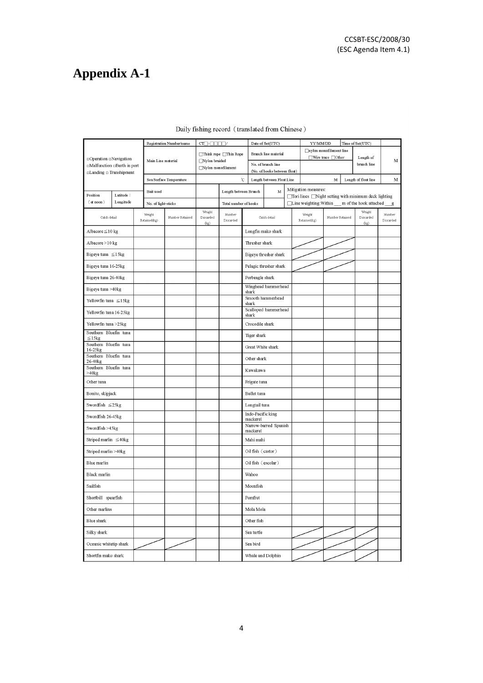# **Appendix A-1**

|                                                                                    |                     |  | Registration Number/name  | $CT\square$ - $\square\square\square\square$ / |                       |                        | Date of Set(UTC)                  |                           | YY/MM/DD                                                                      |                               | Time of Set(UTC)                                          |                        |                          |             |
|------------------------------------------------------------------------------------|---------------------|--|---------------------------|------------------------------------------------|-----------------------|------------------------|-----------------------------------|---------------------------|-------------------------------------------------------------------------------|-------------------------------|-----------------------------------------------------------|------------------------|--------------------------|-------------|
| □ Operation □ Navigation<br>□Malfunction □Berth in port<br>□Landing □ Transhipment |                     |  |                           |                                                |                       | □Think rope □Thin Rope |                                   | Branch line material      |                                                                               |                               | nylon monofilament line<br>$\Box$ Wire trace $\Box$ Other |                        |                          |             |
|                                                                                    |                     |  | Main Line material        |                                                | □Nylon braided        |                        | No. of branch line                |                           |                                                                               |                               |                                                           |                        | Length of<br>branch line | $\mathbf M$ |
|                                                                                    |                     |  |                           |                                                | Nylon monofilament    |                        | (No. of hooks between float)      |                           |                                                                               |                               |                                                           |                        |                          |             |
|                                                                                    |                     |  |                           | Sea Surface Temperature                        |                       | $^{\circ}$ C           |                                   | Length between Float Line |                                                                               |                               | $\mathbf M$                                               |                        | Length of float line     | M           |
| Latitude:<br>Position                                                              |                     |  | Bait used                 |                                                | Length between Branch |                        |                                   | M                         | Mitigation measures:<br>□Tori lines □Night setting with minimum deck lighting |                               |                                                           |                        |                          |             |
| $($ at noon $)$<br>Longitude                                                       |                     |  | No. of light-sticks       |                                                |                       | Total number of hooks  |                                   |                           |                                                                               | $\Box$ Line weighting: Within |                                                           | m of the hook attached | $\mathbf{g}$             |             |
|                                                                                    |                     |  | Weight<br>Number Retained |                                                | Weight<br>Discarded   | Number                 |                                   | Catch detail              |                                                                               | Weight                        |                                                           |                        | Weight<br>Discarded      | Number      |
| Catch detail                                                                       |                     |  | Retained(kg)              |                                                | (kg)                  | Discarded              |                                   |                           |                                                                               | Retained(kg)                  | Number Retained                                           |                        | (kg)                     | Discarded   |
| Albacore≦10 kg                                                                     |                     |  |                           |                                                |                       |                        |                                   | Longfin mako shark        |                                                                               |                               |                                                           |                        |                          |             |
| Albacore >10 kg                                                                    |                     |  |                           |                                                |                       |                        | Thresher shark                    |                           |                                                                               |                               |                                                           |                        |                          |             |
| Bigeye tuna $\leq 15$ kg                                                           |                     |  |                           |                                                |                       |                        |                                   | Bigeye thresher shark     |                                                                               |                               |                                                           |                        |                          |             |
| Bigeye tuna 16-25kg                                                                |                     |  |                           |                                                |                       |                        | Pelagic thresher shark            |                           |                                                                               |                               |                                                           |                        |                          |             |
|                                                                                    | Bigeye tuna 26-40kg |  |                           |                                                |                       |                        | Porbeagle shark                   |                           |                                                                               |                               |                                                           |                        |                          |             |
| Bigeye tuna >40kg                                                                  |                     |  |                           |                                                |                       |                        | Winghead hammerhead<br>shark      |                           |                                                                               |                               |                                                           |                        |                          |             |
| Yellowfin tuna $\leq 15$ kg                                                        |                     |  |                           |                                                |                       |                        | Smooth hammerhead<br>shark        |                           |                                                                               |                               |                                                           |                        |                          |             |
| Yellowfin tuna 16-25kg                                                             |                     |  |                           |                                                |                       |                        | Scalloped hammerhead<br>shark     |                           |                                                                               |                               |                                                           |                        |                          |             |
| Yellowfin tuna >25kg                                                               |                     |  |                           |                                                |                       |                        | Crocodile shark                   |                           |                                                                               |                               |                                                           |                        |                          |             |
| Southern Bluefin tuna<br>$\leq$ 15kg                                               |                     |  |                           |                                                |                       |                        | Tiger shark                       |                           |                                                                               |                               |                                                           |                        |                          |             |
| Southern Bluefin tuna<br>16-25kg                                                   |                     |  |                           |                                                |                       |                        | Great White shark                 |                           |                                                                               |                               |                                                           |                        |                          |             |
| Southern Bluefin tuna<br>26-40 <sub>kg</sub>                                       |                     |  |                           |                                                |                       |                        | Other shark                       |                           |                                                                               |                               |                                                           |                        |                          |             |
| Southern Bluefin tuna<br>$>40$ kg                                                  |                     |  |                           |                                                |                       |                        | Kawakawa                          |                           |                                                                               |                               |                                                           |                        |                          |             |
| Other tuna                                                                         |                     |  |                           |                                                |                       |                        | Frigate tuna                      |                           |                                                                               |                               |                                                           |                        |                          |             |
| Bonito, skipjack                                                                   |                     |  |                           |                                                |                       |                        | Bullet tuna                       |                           |                                                                               |                               |                                                           |                        |                          |             |
| Swordfish $\leq$ 25kg                                                              |                     |  |                           |                                                |                       |                        | Longtail tuna                     |                           |                                                                               |                               |                                                           |                        |                          |             |
| Swordfish 26-45kg                                                                  |                     |  |                           |                                                |                       |                        | Indo-Pacific king<br>mackerel     |                           |                                                                               |                               |                                                           |                        |                          |             |
| Swordfish >45kg                                                                    |                     |  |                           |                                                |                       |                        | Narrow-barred Spanish<br>mackerel |                           |                                                                               |                               |                                                           |                        |                          |             |
| Striped marlin $\leq 40$ kg                                                        |                     |  |                           |                                                |                       |                        | Mahi mahi                         |                           |                                                                               |                               |                                                           |                        |                          |             |
| Striped marlin >40kg                                                               |                     |  |                           |                                                |                       |                        | Oil fish (castor)                 |                           |                                                                               |                               |                                                           |                        |                          |             |
| Blue marlin                                                                        |                     |  |                           |                                                |                       |                        | Oil fish (escolar)                |                           |                                                                               |                               |                                                           |                        |                          |             |
| <b>Black</b> marlin                                                                |                     |  |                           |                                                |                       | Wahoo                  |                                   |                           |                                                                               |                               |                                                           |                        |                          |             |
| Sailfish                                                                           |                     |  |                           |                                                |                       | Moonfish               |                                   |                           |                                                                               |                               |                                                           |                        |                          |             |
| Shortbill spearfish                                                                |                     |  |                           |                                                |                       | Pomfret                |                                   |                           |                                                                               |                               |                                                           |                        |                          |             |
| Other marlins                                                                      |                     |  |                           |                                                |                       |                        | Mola Mola                         |                           |                                                                               |                               |                                                           |                        |                          |             |
| Blue shark                                                                         |                     |  |                           |                                                |                       |                        | Other fish                        |                           |                                                                               |                               |                                                           |                        |                          |             |
| Silky shark                                                                        |                     |  |                           |                                                |                       |                        | Sea turtle                        |                           |                                                                               |                               |                                                           |                        |                          |             |
| Oceanic whitetip shark                                                             |                     |  |                           |                                                |                       |                        | Sea bird                          |                           |                                                                               |                               |                                                           |                        |                          |             |
| Shortfin mako shark                                                                |                     |  |                           |                                                |                       |                        | Whale and Dolphin                 |                           |                                                                               |                               |                                                           |                        |                          |             |

#### Daily fishing record (translated from Chinese)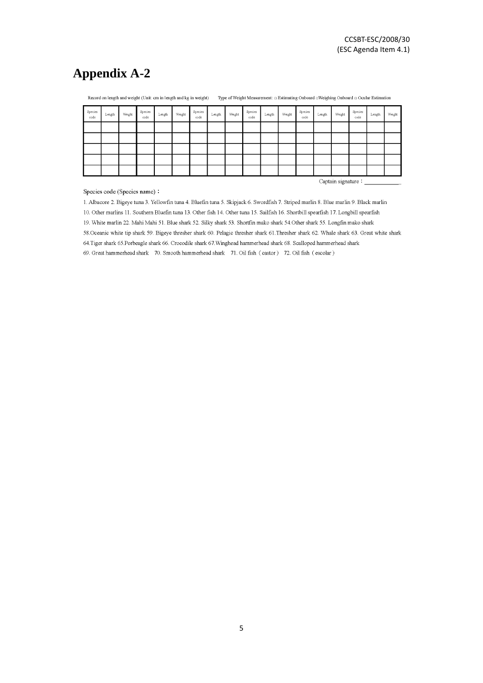## **Appendix A-2**

| Species<br>$_{\rm code}$ | Length                     | Weight | Species<br>code | Length | Weight | Species<br>code | Length | Weight | Species<br>code | Length | Weight | Species<br>code | Length | Weight | Species<br>code | Length | Weight |
|--------------------------|----------------------------|--------|-----------------|--------|--------|-----------------|--------|--------|-----------------|--------|--------|-----------------|--------|--------|-----------------|--------|--------|
|                          |                            |        |                 |        |        |                 |        |        |                 |        |        |                 |        |        |                 |        |        |
|                          |                            |        |                 |        |        |                 |        |        |                 |        |        |                 |        |        |                 |        |        |
|                          |                            |        |                 |        |        |                 |        |        |                 |        |        |                 |        |        |                 |        |        |
|                          |                            |        |                 |        |        |                 |        |        |                 |        |        |                 |        |        |                 |        |        |
|                          |                            |        |                 |        |        |                 |        |        |                 |        |        |                 |        |        |                 |        |        |
|                          | Captain signature $\colon$ |        |                 |        |        |                 |        |        |                 |        |        |                 |        |        |                 |        |        |

Record on length and weight (Unit: cm in length and kg in weight) Type of Weight Measurement: DEstimating Onboard DWeighing Onboard DOcular Estimation

#### Species code (Species name):

1. Albacore 2. Bigeye tuna 3. Yellowfin tuna 4. Bluefin tuna 5. Skipjack 6. Swordfish 7. Striped marlin 8. Blue marlin 9. Black marlin 10. Other marlins 11. Southern Bluefin tuna 13. Other fish 14. Other tuna 15. Sailfish 16. Shortbill spearfish 17. Longbill spearfish 19. White marlin 22. Mahi Mahi 51. Blue shark 52. Silky shark 53. Shortfin mako shark 54. Other shark 55. Longfin mako shark 58. Oceanic white tip shark 59. Bigeye thresher shark 60. Pelagic thresher shark 61. Thresher shark 62. Whale shark 63. Great white shark 64. Tiger shark 65. Porbeagle shark 66. Crocodile shark 67. Winghead hammerhead shark 68. Scalloped hammerhead shark 69. Great hammerhead shark 70. Smooth hammerhead shark 71. Oil fish (castor) 72. Oil fish (escolar)